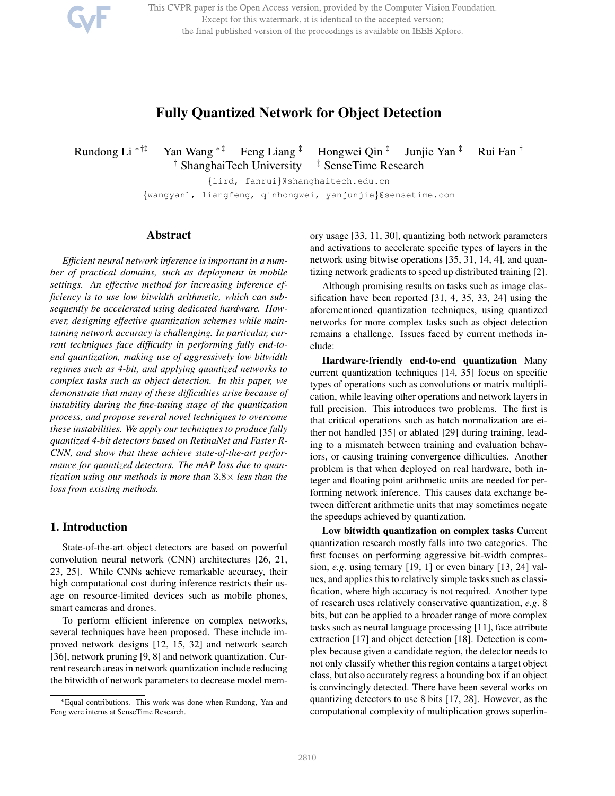This CVPR paper is the Open Access version, provided by the Computer Vision Foundation. Except for this watermark, it is identical to the accepted version; the final published version of the proceedings is available on IEEE Xplore.

# Fully Quantized Network for Object Detection

Rundong Li <sup>\*†‡</sup> Yan Wang <sup>\*‡</sup> Feng Liang <sup>‡</sup> Hongwei Qin <sup>‡</sup>

Junjie Yan ‡ Rui Fan † <sup>†</sup> ShanghaiTech University <sup>‡</sup> SenseTime Research

{lird, fanrui}@shanghaitech.edu.cn {wangyan1, liangfeng, qinhongwei, yanjunjie}@sensetime.com

### Abstract

*Efficient neural network inference is important in a number of practical domains, such as deployment in mobile settings. An effective method for increasing inference efficiency is to use low bitwidth arithmetic, which can subsequently be accelerated using dedicated hardware. However, designing effective quantization schemes while maintaining network accuracy is challenging. In particular, current techniques face difficulty in performing fully end-toend quantization, making use of aggressively low bitwidth regimes such as 4-bit, and applying quantized networks to complex tasks such as object detection. In this paper, we demonstrate that many of these difficulties arise because of instability during the fine-tuning stage of the quantization process, and propose several novel techniques to overcome these instabilities. We apply our techniques to produce fully quantized 4-bit detectors based on RetinaNet and Faster R-CNN, and show that these achieve state-of-the-art performance for quantized detectors. The mAP loss due to quantization using our methods is more than* 3.8× *less than the loss from existing methods.*

# 1. Introduction

State-of-the-art object detectors are based on powerful convolution neural network (CNN) architectures [26, 21, 23, 25]. While CNNs achieve remarkable accuracy, their high computational cost during inference restricts their usage on resource-limited devices such as mobile phones, smart cameras and drones.

To perform efficient inference on complex networks, several techniques have been proposed. These include improved network designs [12, 15, 32] and network search [36], network pruning [9, 8] and network quantization. Current research areas in network quantization include reducing the bitwidth of network parameters to decrease model memory usage [33, 11, 30], quantizing both network parameters and activations to accelerate specific types of layers in the network using bitwise operations [35, 31, 14, 4], and quantizing network gradients to speed up distributed training [2].

Although promising results on tasks such as image classification have been reported [31, 4, 35, 33, 24] using the aforementioned quantization techniques, using quantized networks for more complex tasks such as object detection remains a challenge. Issues faced by current methods include:

Hardware-friendly end-to-end quantization Many current quantization techniques [14, 35] focus on specific types of operations such as convolutions or matrix multiplication, while leaving other operations and network layers in full precision. This introduces two problems. The first is that critical operations such as batch normalization are either not handled [35] or ablated [29] during training, leading to a mismatch between training and evaluation behaviors, or causing training convergence difficulties. Another problem is that when deployed on real hardware, both integer and floating point arithmetic units are needed for performing network inference. This causes data exchange between different arithmetic units that may sometimes negate the speedups achieved by quantization.

Low bitwidth quantization on complex tasks Current quantization research mostly falls into two categories. The first focuses on performing aggressive bit-width compression, *e.g*. using ternary [19, 1] or even binary [13, 24] values, and applies this to relatively simple tasks such as classification, where high accuracy is not required. Another type of research uses relatively conservative quantization, *e.g*. 8 bits, but can be applied to a broader range of more complex tasks such as neural language processing [11], face attribute extraction [17] and object detection [18]. Detection is complex because given a candidate region, the detector needs to not only classify whether this region contains a target object class, but also accurately regress a bounding box if an object is convincingly detected. There have been several works on quantizing detectors to use 8 bits [17, 28]. However, as the computational complexity of multiplication grows superlin-

<sup>∗</sup>Equal contributions. This work was done when Rundong, Yan and Feng were interns at SenseTime Research.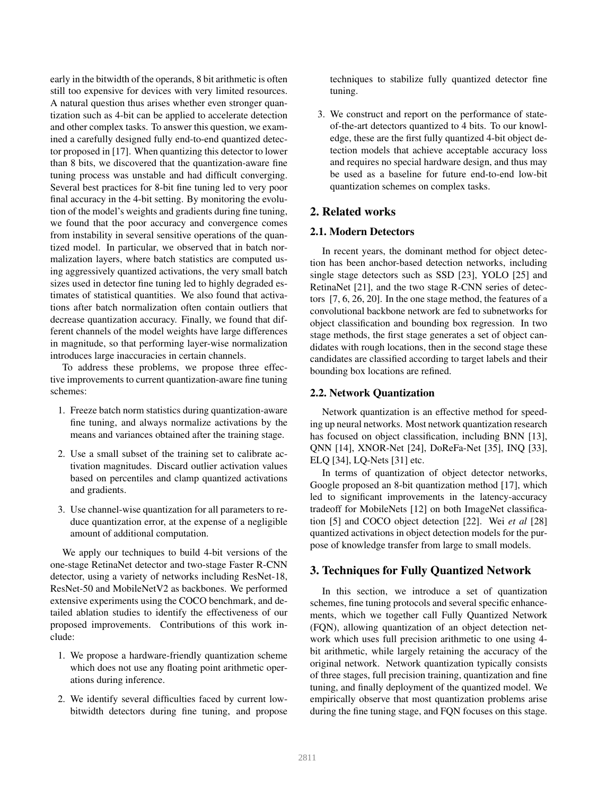early in the bitwidth of the operands, 8 bit arithmetic is often still too expensive for devices with very limited resources. A natural question thus arises whether even stronger quantization such as 4-bit can be applied to accelerate detection and other complex tasks. To answer this question, we examined a carefully designed fully end-to-end quantized detector proposed in [17]. When quantizing this detector to lower than 8 bits, we discovered that the quantization-aware fine tuning process was unstable and had difficult converging. Several best practices for 8-bit fine tuning led to very poor final accuracy in the 4-bit setting. By monitoring the evolution of the model's weights and gradients during fine tuning, we found that the poor accuracy and convergence comes from instability in several sensitive operations of the quantized model. In particular, we observed that in batch normalization layers, where batch statistics are computed using aggressively quantized activations, the very small batch sizes used in detector fine tuning led to highly degraded estimates of statistical quantities. We also found that activations after batch normalization often contain outliers that decrease quantization accuracy. Finally, we found that different channels of the model weights have large differences in magnitude, so that performing layer-wise normalization introduces large inaccuracies in certain channels.

To address these problems, we propose three effective improvements to current quantization-aware fine tuning schemes:

- 1. Freeze batch norm statistics during quantization-aware fine tuning, and always normalize activations by the means and variances obtained after the training stage.
- 2. Use a small subset of the training set to calibrate activation magnitudes. Discard outlier activation values based on percentiles and clamp quantized activations and gradients.
- 3. Use channel-wise quantization for all parameters to reduce quantization error, at the expense of a negligible amount of additional computation.

We apply our techniques to build 4-bit versions of the one-stage RetinaNet detector and two-stage Faster R-CNN detector, using a variety of networks including ResNet-18, ResNet-50 and MobileNetV2 as backbones. We performed extensive experiments using the COCO benchmark, and detailed ablation studies to identify the effectiveness of our proposed improvements. Contributions of this work include:

- 1. We propose a hardware-friendly quantization scheme which does not use any floating point arithmetic operations during inference.
- 2. We identify several difficulties faced by current lowbitwidth detectors during fine tuning, and propose

techniques to stabilize fully quantized detector fine tuning.

3. We construct and report on the performance of stateof-the-art detectors quantized to 4 bits. To our knowledge, these are the first fully quantized 4-bit object detection models that achieve acceptable accuracy loss and requires no special hardware design, and thus may be used as a baseline for future end-to-end low-bit quantization schemes on complex tasks.

# 2. Related works

# 2.1. Modern Detectors

In recent years, the dominant method for object detection has been anchor-based detection networks, including single stage detectors such as SSD [23], YOLO [25] and RetinaNet [21], and the two stage R-CNN series of detectors [7, 6, 26, 20]. In the one stage method, the features of a convolutional backbone network are fed to subnetworks for object classification and bounding box regression. In two stage methods, the first stage generates a set of object candidates with rough locations, then in the second stage these candidates are classified according to target labels and their bounding box locations are refined.

#### 2.2. Network Quantization

Network quantization is an effective method for speeding up neural networks. Most network quantization research has focused on object classification, including BNN [13], QNN [14], XNOR-Net [24], DoReFa-Net [35], INQ [33], ELQ [34], LQ-Nets [31] etc.

In terms of quantization of object detector networks, Google proposed an 8-bit quantization method [17], which led to significant improvements in the latency-accuracy tradeoff for MobileNets [12] on both ImageNet classification [5] and COCO object detection [22]. Wei *et al* [28] quantized activations in object detection models for the purpose of knowledge transfer from large to small models.

### 3. Techniques for Fully Quantized Network

In this section, we introduce a set of quantization schemes, fine tuning protocols and several specific enhancements, which we together call Fully Quantized Network (FQN), allowing quantization of an object detection network which uses full precision arithmetic to one using 4 bit arithmetic, while largely retaining the accuracy of the original network. Network quantization typically consists of three stages, full precision training, quantization and fine tuning, and finally deployment of the quantized model. We empirically observe that most quantization problems arise during the fine tuning stage, and FQN focuses on this stage.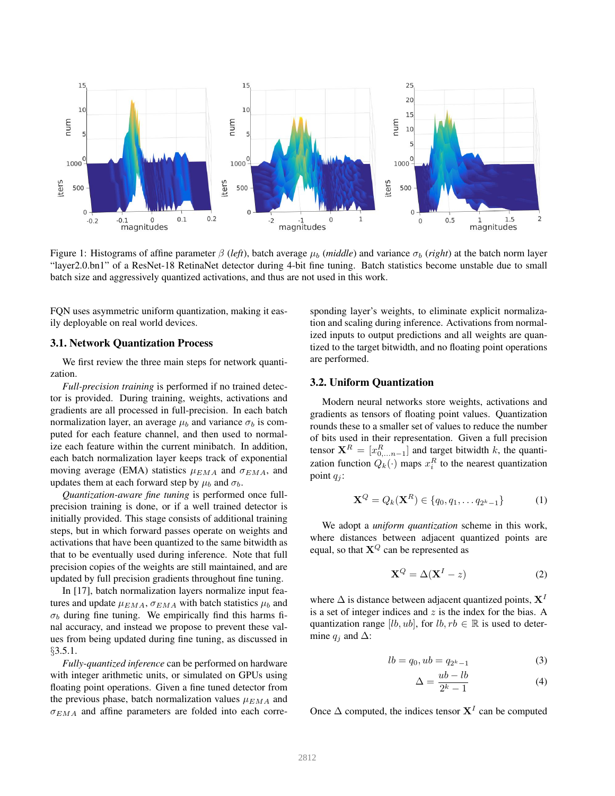

Figure 1: Histograms of affine parameter  $β$  (*left*), batch average  $μ_b$  (*middle*) and variance  $σ_b$  (*right*) at the batch norm layer "layer2.0.bn1" of a ResNet-18 RetinaNet detector during 4-bit fine tuning. Batch statistics become unstable due to small batch size and aggressively quantized activations, and thus are not used in this work.

FQN uses asymmetric uniform quantization, making it easily deployable on real world devices.

#### 3.1. Network Quantization Process

We first review the three main steps for network quantization.

*Full-precision training* is performed if no trained detector is provided. During training, weights, activations and gradients are all processed in full-precision. In each batch normalization layer, an average  $\mu_b$  and variance  $\sigma_b$  is computed for each feature channel, and then used to normalize each feature within the current minibatch. In addition, each batch normalization layer keeps track of exponential moving average (EMA) statistics  $\mu_{EMA}$  and  $\sigma_{EMA}$ , and updates them at each forward step by  $\mu_b$  and  $\sigma_b$ .

*Quantization-aware fine tuning* is performed once fullprecision training is done, or if a well trained detector is initially provided. This stage consists of additional training steps, but in which forward passes operate on weights and activations that have been quantized to the same bitwidth as that to be eventually used during inference. Note that full precision copies of the weights are still maintained, and are updated by full precision gradients throughout fine tuning.

In [17], batch normalization layers normalize input features and update  $\mu_{EMA}$ ,  $\sigma_{EMA}$  with batch statistics  $\mu_b$  and  $\sigma_b$  during fine tuning. We empirically find this harms final accuracy, and instead we propose to prevent these values from being updated during fine tuning, as discussed in §3.5.1.

*Fully-quantized inference* can be performed on hardware with integer arithmetic units, or simulated on GPUs using floating point operations. Given a fine tuned detector from the previous phase, batch normalization values  $\mu_{EMA}$  and  $\sigma_{EMA}$  and affine parameters are folded into each corresponding layer's weights, to eliminate explicit normalization and scaling during inference. Activations from normalized inputs to output predictions and all weights are quantized to the target bitwidth, and no floating point operations are performed.

# 3.2. Uniform Quantization

Modern neural networks store weights, activations and gradients as tensors of floating point values. Quantization rounds these to a smaller set of values to reduce the number of bits used in their representation. Given a full precision tensor  $X^R = [x_{0,...n-1}^R]$  and target bitwidth k, the quantization function  $Q_k(\cdot)$  maps  $x_i^R$  to the nearest quantization point  $q_i$ :

$$
\mathbf{X}^{Q} = Q_{k}(\mathbf{X}^{R}) \in \{q_{0}, q_{1}, \dots q_{2^{k}-1}\}\tag{1}
$$

We adopt a *uniform quantization* scheme in this work, where distances between adjacent quantized points are equal, so that  $X^Q$  can be represented as

$$
\mathbf{X}^Q = \Delta(\mathbf{X}^I - z) \tag{2}
$$

where  $\Delta$  is distance between adjacent quantized points,  $X<sup>T</sup>$ is a set of integer indices and  $z$  is the index for the bias. A quantization range [lb, ub], for  $lb, rb \in \mathbb{R}$  is used to determine  $q_i$  and  $\Delta$ :

$$
lb = q_0, ub = q_{2^k - 1}
$$
 (3)

$$
\Delta = \frac{ub - lb}{2^k - 1} \tag{4}
$$

Once  $\Delta$  computed, the indices tensor  $X<sup>I</sup>$  can be computed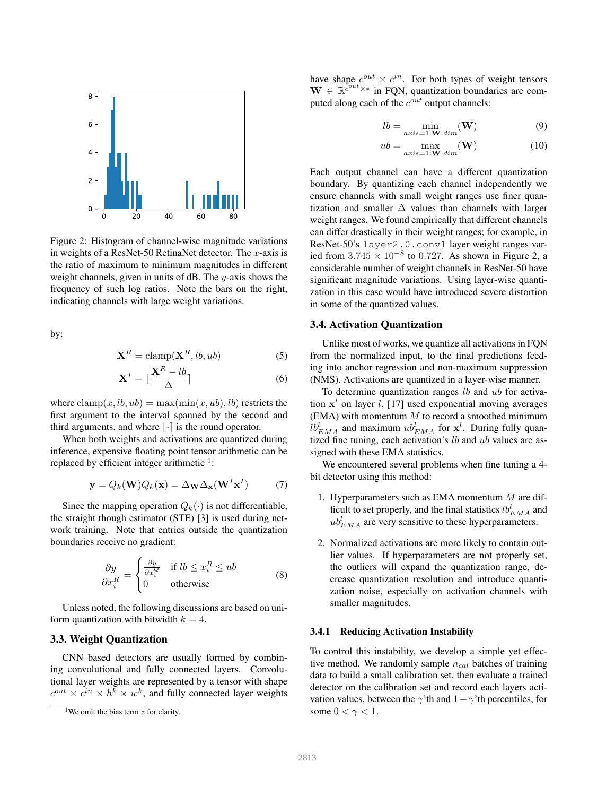

Figure 2: Histogram of channel-wise magnitude variations in weights of a ResNet-50 RetinaNet detector. The  $x$ -axis is the ratio of maximum to minimum magnitudes in different weight channels, given in units of  $dB$ . The y-axis shows the frequency of such log ratios. Note the bars on the right, indicating channels with large weight variations.

by:

$$
\mathbf{X}^R = \text{clamp}(\mathbf{X}^R, lb, ub) \tag{5}
$$

$$
\mathbf{X}^{I} = \lfloor \frac{\mathbf{X}^{R} - lb}{\Delta} \rceil \tag{6}
$$

where  $\text{clamp}(x, lb, ub) = \text{max}(\text{min}(x, ub), lb)$  restricts the first argument to the interval spanned by the second and third arguments, and where  $|\cdot|$  is the round operator.

When both weights and activations are quantized during inference, expensive floating point tensor arithmetic can be replaced by efficient integer arithmetic  $1$ :

$$
\mathbf{y} = Q_k(\mathbf{W})Q_k(\mathbf{x}) = \Delta_{\mathbf{W}}\Delta_{\mathbf{x}}(\mathbf{W}^I\mathbf{x}^I)
$$
(7)

Since the mapping operation  $Q_k(\cdot)$  is not differentiable, the straight though estimator (STE) [3] is used during network training. Note that entries outside the quantization boundaries receive no gradient:

$$
\frac{\partial y}{\partial x_i^R} = \begin{cases} \frac{\partial y}{\partial x_i^Q} & \text{if } lb \le x_i^R \le ub \\ 0 & \text{otherwise} \end{cases}
$$
 (8)

Unless noted, the following discussions are based on uniform quantization with bitwidth  $k = 4$ .

#### 3.3. Weight Quantization

CNN based detectors are usually formed by combining convolutional and fully connected layers. Convolutional layer weights are represented by a tensor with shape  $c^{out} \times c^{in} \times h^k \times w^k$ , and fully connected layer weights have shape  $c^{out} \times c^{in}$ . For both types of weight tensors  $\mathbf{W} \in \mathbb{R}^{c^{out} \times *}$  in FQN, quantization boundaries are computed along each of the  $c^{out}$  output channels:

$$
lb = \min_{axis = 1: \mathbf{W}.dim}(\mathbf{W})
$$
 (9)

$$
ub = \max_{axis=1:\mathbf{W}.dim}(\mathbf{W})
$$
 (10)

Each output channel can have a different quantization boundary. By quantizing each channel independently we ensure channels with small weight ranges use finer quantization and smaller  $\Delta$  values than channels with larger weight ranges. We found empirically that different channels can differ drastically in their weight ranges; for example, in ResNet-50's layer2.0.conv1 layer weight ranges varied from  $3.745 \times 10^{-8}$  to 0.727. As shown in Figure 2, a considerable number of weight channels in ResNet-50 have significant magnitude variations. Using layer-wise quantization in this case would have introduced severe distortion in some of the quantized values.

#### 3.4. Activation Quantization

Unlike most of works, we quantize all activations in FQN from the normalized input, to the final predictions feeding into anchor regression and non-maximum suppression (NMS). Activations are quantized in a layer-wise manner.

To determine quantization ranges  $lb$  and  $ub$  for activation  $x^l$  on layer *l*, [17] used exponential moving averages  $(EMA)$  with momentum  $M$  to record a smoothed minimum  $lb_{EMA}^l$  and maximum  $ub_{EMA}^l$  for  $\mathbf{x}^l$ . During fully quantized fine tuning, each activation's  $lb$  and  $ub$  values are assigned with these EMA statistics.

We encountered several problems when fine tuning a 4 bit detector using this method:

- 1. Hyperparameters such as EMA momentum  $M$  are difficult to set properly, and the final statistics  $lb_{EMA}^l$  and  $ub_{EMA}^l$  are very sensitive to these hyperparameters.
- 2. Normalized activations are more likely to contain outlier values. If hyperparameters are not properly set, the outliers will expand the quantization range, decrease quantization resolution and introduce quantization noise, especially on activation channels with smaller magnitudes.

#### 3.4.1 Reducing Activation Instability

To control this instability, we develop a simple yet effective method. We randomly sample  $n_{cal}$  batches of training data to build a small calibration set, then evaluate a trained detector on the calibration set and record each layers activation values, between the  $\gamma'$ th and  $1-\gamma'$ th percentiles, for some  $0 < \gamma < 1$ .

<sup>&</sup>lt;sup>1</sup>We omit the bias term  $z$  for clarity.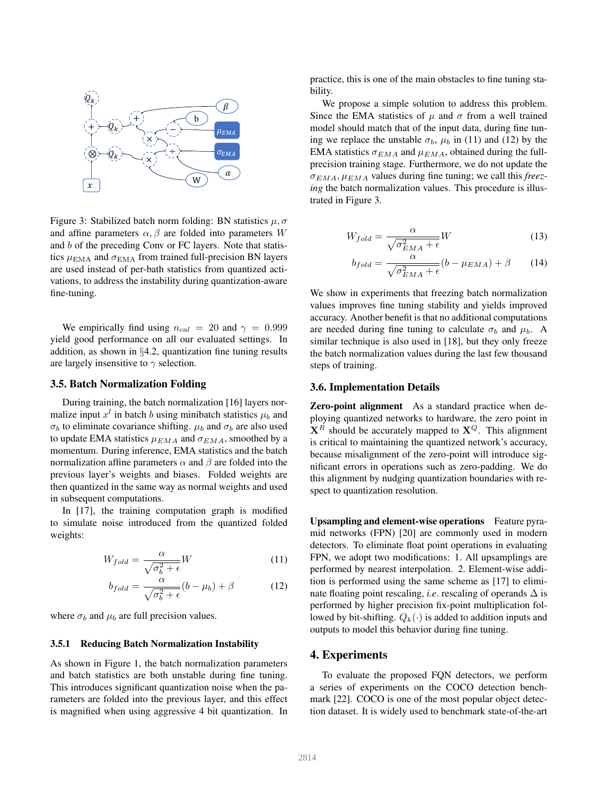

Figure 3: Stabilized batch norm folding: BN statistics  $\mu, \sigma$ and affine parameters  $\alpha$ ,  $\beta$  are folded into parameters W and b of the preceding Conv or FC layers. Note that statistics  $\mu_{\text{EMA}}$  and  $\sigma_{\text{EMA}}$  from trained full-precision BN layers are used instead of per-bath statistics from quantized activations, to address the instability during quantization-aware fine-tuning.

We empirically find using  $n_{cal} = 20$  and  $\gamma = 0.999$ yield good performance on all our evaluated settings. In addition, as shown in §4.2, quantization fine tuning results are largely insensitive to  $\gamma$  selection.

#### 3.5. Batch Normalization Folding

During training, the batch normalization [16] layers normalize input  $x^l$  in batch b using minibatch statistics  $\mu_b$  and  $\sigma_b$  to eliminate covariance shifting.  $\mu_b$  and  $\sigma_b$  are also used to update EMA statistics  $\mu_{EMA}$  and  $\sigma_{EMA}$ , smoothed by a momentum. During inference, EMA statistics and the batch normalization affine parameters  $\alpha$  and  $\beta$  are folded into the previous layer's weights and biases. Folded weights are then quantized in the same way as normal weights and used in subsequent computations.

In [17], the training computation graph is modified to simulate noise introduced from the quantized folded weights:

$$
W_{fold} = \frac{\alpha}{\sqrt{\sigma_b^2 + \epsilon}} W \tag{11}
$$

$$
b_{fold} = \frac{\alpha}{\sqrt{\sigma_b^2 + \epsilon}} (b - \mu_b) + \beta \tag{12}
$$

where  $\sigma_b$  and  $\mu_b$  are full precision values.

#### 3.5.1 Reducing Batch Normalization Instability

As shown in Figure 1, the batch normalization parameters and batch statistics are both unstable during fine tuning. This introduces significant quantization noise when the parameters are folded into the previous layer, and this effect is magnified when using aggressive 4 bit quantization. In practice, this is one of the main obstacles to fine tuning stability.

We propose a simple solution to address this problem. Since the EMA statistics of  $\mu$  and  $\sigma$  from a well trained model should match that of the input data, during fine tuning we replace the unstable  $\sigma_b$ ,  $\mu_b$  in (11) and (12) by the EMA statistics  $\sigma_{EMA}$  and  $\mu_{EMA}$ , obtained during the fullprecision training stage. Furthermore, we do not update the  $\sigma_{EMA}$ ,  $\mu_{EMA}$  values during fine tuning; we call this *freezing* the batch normalization values. This procedure is illustrated in Figure 3.

$$
W_{fold} = \frac{\alpha}{\sqrt{\sigma_{EMA}^2 + \epsilon}} W \tag{13}
$$

$$
b_{fold} = \frac{\alpha}{\sqrt{\sigma_{EMA}^2 + \epsilon}} (b - \mu_{EMA}) + \beta \tag{14}
$$

We show in experiments that freezing batch normalization values improves fine tuning stability and yields improved accuracy. Another benefit is that no additional computations are needed during fine tuning to calculate  $\sigma_b$  and  $\mu_b$ . A similar technique is also used in [18], but they only freeze the batch normalization values during the last few thousand steps of training.

#### 3.6. Implementation Details

Zero-point alignment As a standard practice when deploying quantized networks to hardware, the zero point in  $X^R$  should be accurately mapped to  $X^Q$ . This alignment is critical to maintaining the quantized network's accuracy, because misalignment of the zero-point will introduce significant errors in operations such as zero-padding. We do this alignment by nudging quantization boundaries with respect to quantization resolution.

Upsampling and element-wise operations Feature pyramid networks (FPN) [20] are commonly used in modern detectors. To eliminate float point operations in evaluating FPN, we adopt two modifications: 1. All upsamplings are performed by nearest interpolation. 2. Element-wise addition is performed using the same scheme as [17] to eliminate floating point rescaling, *i.e.* rescaling of operands  $\Delta$  is performed by higher precision fix-point multiplication followed by bit-shifting.  $Q_k(\cdot)$  is added to addition inputs and outputs to model this behavior during fine tuning.

#### 4. Experiments

To evaluate the proposed FQN detectors, we perform a series of experiments on the COCO detection benchmark [22]. COCO is one of the most popular object detection dataset. It is widely used to benchmark state-of-the-art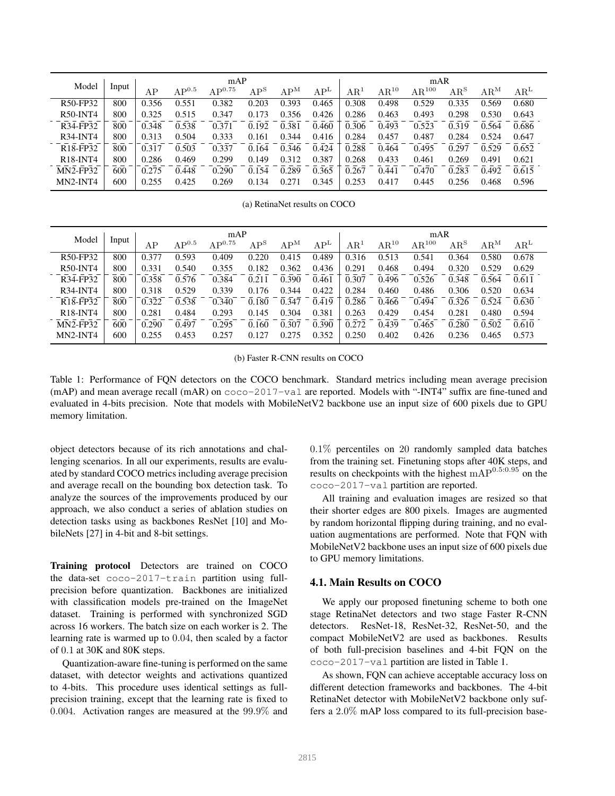|                                   |       | mAP   |                  |             |        | mAR    |                 |              |               |                     |                            |                          |              |
|-----------------------------------|-------|-------|------------------|-------------|--------|--------|-----------------|--------------|---------------|---------------------|----------------------------|--------------------------|--------------|
| Model                             | Input | AP    | ${\rm AP}^{0.5}$ | $AP^{0.75}$ | $AP^S$ | $AP^M$ | AP <sup>L</sup> | $\rm AR^{1}$ | $\rm AR^{10}$ | $\mathrm{AR}^{100}$ | $\mathrm{AR}^{\mathrm{S}}$ | $\mathrm{AR}^\mathrm{M}$ | $\rm AR^{L}$ |
| R50-FP32                          | 800   | 0.356 | 0.551            | 0.382       | 0.203  | 0.393  | 0.465           | 0.308        | 0.498         | 0.529               | 0.335                      | 0.569                    | 0.680        |
| $R50$ -INT4                       | 800   | 0.325 | 0.515            | 0.347       | 0.173  | 0.356  | 0.426           | 0.286        | 0.463         | 0.493               | 0.298                      | 0.530                    | 0.643        |
| R34-FP32                          | 800   | 0.348 | 0.538            | 0.371       | 0.192  | 0.381  | 0.460           | 0.306        | 0.493         | 0.523               | 0.319                      | 0.564                    | 0.686        |
| $R34$ -INT4                       | 800   | 0.313 | 0.504            | 0.333       | 0.161  | 0.344  | 0.416           | 0.284        | 0.457         | 0.487               | 0.284                      | 0.524                    | 0.647        |
| R <sub>18</sub> -FP <sub>32</sub> | 800   | 0.317 | 0.503            | 0.337       | 0.164  | 0.346  | 0.424           | 0.288        | 0.464         | 0.495               | 0.297                      | 0.529                    | 0.652        |
| R <sub>18</sub> -INT <sub>4</sub> | 800   | 0.286 | 0.469            | 0.299       | 0.149  | 0.312  | 0.387           | 0.268        | 0.433         | 0.461               | 0.269                      | 0.491                    | 0.621        |
| <b>MN2-FP32</b>                   | 600   | 0.275 | 0.448            | 0.290       | 0.154  | 0.289  | 0.365           | 0.267        | 0.441         | 0.470               | 0.283                      | 0.492                    | 0.615        |
| MN2-INT4                          | 600   | 0.255 | 0.425            | 0.269       | 0.134  | 0.271  | 0.345           | 0.253        | 0.417         | 0.445               | 0.256                      | 0.468                    | 0.596        |

(a) RetinaNet results on COCO

|                                   | Input | mAP   |                |             |        |        | mAR             |            |               |                     |                          |                          |                 |
|-----------------------------------|-------|-------|----------------|-------------|--------|--------|-----------------|------------|---------------|---------------------|--------------------------|--------------------------|-----------------|
| Model                             |       | AP    | $\rm AP^{0.5}$ | $AP^{0.75}$ | $AP^S$ | $AP^M$ | AP <sup>L</sup> | $\rm AR^1$ | $\rm AR^{10}$ | $\mathrm{AR}^{100}$ | $\mathrm{AR}^\mathrm{S}$ | $\mathrm{AR}^\mathrm{M}$ | AR <sup>L</sup> |
| R50-FP32                          | 800   | 0.377 | 0.593          | 0.409       | 0.220  | 0.415  | 0.489           | 0.316      | 0.513         | 0.541               | 0.364                    | 0.580                    | 0.678           |
| $R50$ -INT4                       | 800   | 0.331 | 0.540          | 0.355       | 0.182  | 0.362  | 0.436           | 0.291      | 0.468         | 0.494               | 0.320                    | 0.529                    | 0.629           |
| R34-FP32                          | 800   | 0.358 | 0.576          | 0.384       | 0.211  | 0.390  | 0.461           | 0.307      | 0.496         | 0.526               | 0.348                    | 0.564                    | 0.611           |
| $R34$ -INT4                       | 800   | 0.318 | 0.529          | 0.339       | 0.176  | 0.344  | 0.422           | 0.284      | 0.460         | 0.486               | 0.306                    | 0.520                    | 0.634           |
| R <sub>18</sub> -FP <sub>32</sub> | 800   | 0.322 | 0.538          | 0.340       | 0.180  | 0.347  | 0.419           | 0.286      | 0.466         | 0.494               | 0.326                    | 0.524                    | 0.630           |
| R <sub>18</sub> -INT <sub>4</sub> | 800   | 0.281 | 0.484          | 0.293       | 0.145  | 0.304  | 0.381           | 0.263      | 0.429         | 0.454               | 0.281                    | 0.480                    | 0.594           |
| <b>MN2-FP32</b>                   | 600   | 0.290 | 0.497          | 0.295       | 0.160  | 0.307  | 0.390           | 0.272      | 0.439         | 0.465               | 0.280                    | 0.502                    | 0.610           |
| MN2-INT4                          | 600   | 0.255 | 0.453          | 0.257       | 0.127  | 0.275  | 0.352           | 0.250      | 0.402         | 0.426               | 0.236                    | 0.465                    | 0.573           |

(b) Faster R-CNN results on COCO

Table 1: Performance of FQN detectors on the COCO benchmark. Standard metrics including mean average precision (mAP) and mean average recall (mAR) on coco-2017-val are reported. Models with "-INT4" suffix are fine-tuned and evaluated in 4-bits precision. Note that models with MobileNetV2 backbone use an input size of 600 pixels due to GPU memory limitation.

object detectors because of its rich annotations and challenging scenarios. In all our experiments, results are evaluated by standard COCO metrics including average precision and average recall on the bounding box detection task. To analyze the sources of the improvements produced by our approach, we also conduct a series of ablation studies on detection tasks using as backbones ResNet [10] and MobileNets [27] in 4-bit and 8-bit settings.

Training protocol Detectors are trained on COCO the data-set coco-2017-train partition using fullprecision before quantization. Backbones are initialized with classification models pre-trained on the ImageNet dataset. Training is performed with synchronized SGD across 16 workers. The batch size on each worker is 2. The learning rate is warmed up to 0.04, then scaled by a factor of 0.1 at 30K and 80K steps.

Quantization-aware fine-tuning is performed on the same dataset, with detector weights and activations quantized to 4-bits. This procedure uses identical settings as fullprecision training, except that the learning rate is fixed to 0.004. Activation ranges are measured at the 99.9% and

0.1% percentiles on 20 randomly sampled data batches from the training set. Finetuning stops after 40K steps, and results on checkpoints with the highest mAP<sup>0</sup>.5:0.<sup>95</sup> on the coco-2017-val partition are reported.

All training and evaluation images are resized so that their shorter edges are 800 pixels. Images are augmented by random horizontal flipping during training, and no evaluation augmentations are performed. Note that FQN with MobileNetV2 backbone uses an input size of 600 pixels due to GPU memory limitations.

#### 4.1. Main Results on COCO

We apply our proposed finetuning scheme to both one stage RetinaNet detectors and two stage Faster R-CNN detectors. ResNet-18, ResNet-32, ResNet-50, and the compact MobileNetV2 are used as backbones. Results of both full-precision baselines and 4-bit FQN on the coco-2017-val partition are listed in Table 1.

As shown, FQN can achieve acceptable accuracy loss on different detection frameworks and backbones. The 4-bit RetinaNet detector with MobileNetV2 backbone only suffers a 2.0% mAP loss compared to its full-precision base-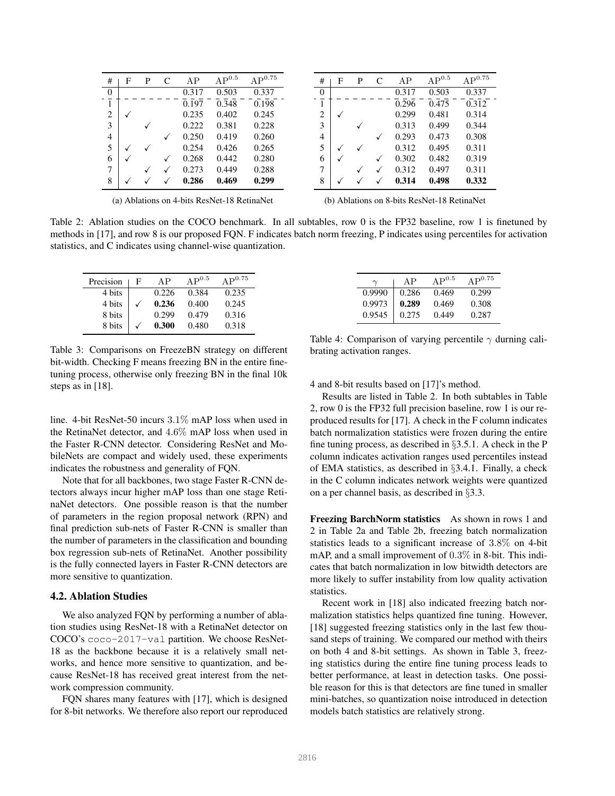| #              | F | P | $\mathsf{C}$ | AP    | $AP^{0.5}$ | $AP^{0.75}$ |
|----------------|---|---|--------------|-------|------------|-------------|
| 0              |   |   |              | 0.317 | 0.503      | 0.337       |
| 1              |   |   |              | 0.197 | 0.348      | 0.198       |
| $\overline{c}$ |   |   |              | 0.235 | 0.402      | 0.245       |
| 3              |   |   |              | 0.222 | 0.381      | 0.228       |
| $\overline{4}$ |   |   |              | 0.250 | 0.419      | 0.260       |
| 5              |   |   |              | 0.254 | 0.426      | 0.265       |
| 6              |   |   | ✓            | 0.268 | 0.442      | 0.280       |
| 7              |   |   |              | 0.273 | 0.449      | 0.288       |
| 8              |   |   |              | 0.286 | 0.469      | 0.299       |

| #              | F            | P | $\mathsf{C}$ | AP    | $\rm AP^{0.5}$ | $\mathrm{AP}^{0.75}$ |
|----------------|--------------|---|--------------|-------|----------------|----------------------|
| 0              |              |   |              | 0.317 | 0.503          | 0.337                |
| 1              |              |   |              | 0.296 | 0.475          | 0.312                |
| $\overline{c}$ |              |   |              | 0.299 | 0.481          | 0.314                |
| 3              |              |   |              | 0.313 | 0.499          | 0.344                |
| 4              |              |   |              | 0.293 | 0.473          | 0.308                |
| 5              | $\checkmark$ |   |              | 0.312 | 0.495          | 0.311                |
| 6              |              |   | $\checkmark$ | 0.302 | 0.482          | 0.319                |
| 7              |              | √ | ✓            | 0.312 | 0.497          | 0.311                |
| 8              |              |   |              | 0.314 | 0.498          | 0.332                |

(a) Ablations on 4-bits ResNet-18 RetinaNet

(b) Ablations on 8-bits ResNet-18 RetinaNet

Table 2: Ablation studies on the COCO benchmark. In all subtables, row 0 is the FP32 baseline, row 1 is finetuned by methods in [17], and row 8 is our proposed FQN. F indicates batch norm freezing, P indicates using percentiles for activation statistics, and C indicates using channel-wise quantization.

| Precision | F | ΔP    | $AP^{0.5}$ | $\Delta$ $\mathbf{p}^{0.75}$ |
|-----------|---|-------|------------|------------------------------|
| 4 bits    |   | 0.226 | 0.384      | 0.235                        |
| 4 bits    |   | 0.236 | 0.400      | 0.245                        |
| 8 bits    |   | 0.299 | 0.479      | 0.316                        |
| 8 bits    |   | 0.300 | 0.480      | 0.318                        |

Table 3: Comparisons on FreezeBN strategy on different bit-width. Checking F means freezing BN in the entire finetuning process, otherwise only freezing BN in the final 10k steps as in [18].

line. 4-bit ResNet-50 incurs 3.1% mAP loss when used in the RetinaNet detector, and 4.6% mAP loss when used in the Faster R-CNN detector. Considering ResNet and MobileNets are compact and widely used, these experiments indicates the robustness and generality of FQN.

Note that for all backbones, two stage Faster R-CNN detectors always incur higher mAP loss than one stage RetinaNet detectors. One possible reason is that the number of parameters in the region proposal network (RPN) and final prediction sub-nets of Faster R-CNN is smaller than the number of parameters in the classification and bounding box regression sub-nets of RetinaNet. Another possibility is the fully connected layers in Faster R-CNN detectors are more sensitive to quantization.

#### 4.2. Ablation Studies

We also analyzed FON by performing a number of ablation studies using ResNet-18 with a RetinaNet detector on COCO's coco-2017-val partition. We choose ResNet-18 as the backbone because it is a relatively small networks, and hence more sensitive to quantization, and because ResNet-18 has received great interest from the network compression community.

FQN shares many features with [17], which is designed for 8-bit networks. We therefore also report our reproduced

| Table 4: Comparison of varying percentile $\gamma$ durning cali- |  |
|------------------------------------------------------------------|--|
| brating activation ranges.                                       |  |

 $\gamma$  | AP  $AP^{0.5}$  AP<sup>0.75</sup> 0.9990 0.286 0.469 0.299  $0.9973 \begin{array}{|l} \infty.289 \quad 0.469 \quad 0.308 \end{array}$ 0.9545 0.275 0.449 0.287

4 and 8-bit results based on [17]'s method.

Results are listed in Table 2. In both subtables in Table 2, row 0 is the FP32 full precision baseline, row 1 is our reproduced results for [17]. A check in the F column indicates batch normalization statistics were frozen during the entire fine tuning process, as described in  $\S 3.5.1$ . A check in the P column indicates activation ranges used percentiles instead of EMA statistics, as described in §3.4.1. Finally, a check in the C column indicates network weights were quantized on a per channel basis, as described in §3.3.

Freezing BarchNorm statistics As shown in rows 1 and 2 in Table 2a and Table 2b, freezing batch normalization statistics leads to a significant increase of 3.8% on 4-bit mAP, and a small improvement of 0.3% in 8-bit. This indicates that batch normalization in low bitwidth detectors are more likely to suffer instability from low quality activation statistics.

Recent work in [18] also indicated freezing batch normalization statistics helps quantized fine tuning. However, [18] suggested freezing statistics only in the last few thousand steps of training. We compared our method with theirs on both 4 and 8-bit settings. As shown in Table 3, freezing statistics during the entire fine tuning process leads to better performance, at least in detection tasks. One possible reason for this is that detectors are fine tuned in smaller mini-batches, so quantization noise introduced in detection models batch statistics are relatively strong.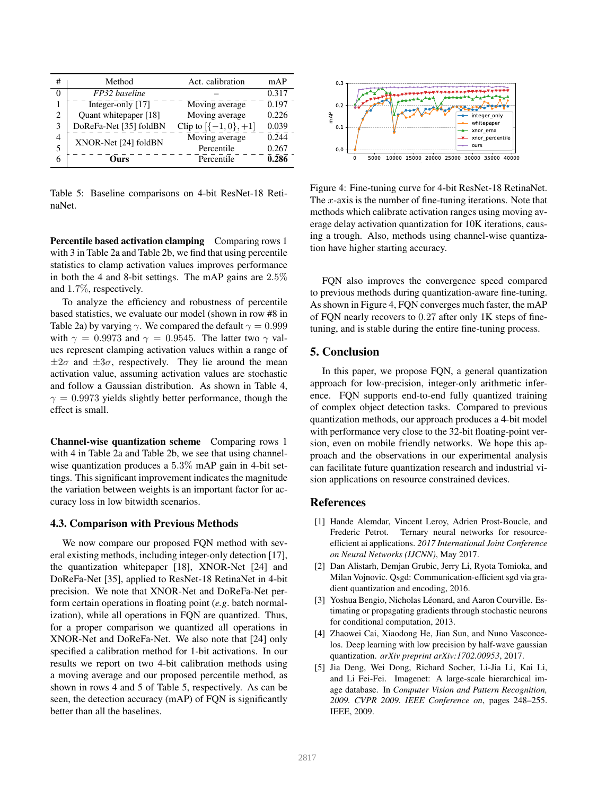| #              | Method                 | Act. calibration      | mAP                 |
|----------------|------------------------|-----------------------|---------------------|
| 0              | FP32 baseline          |                       | 0.317               |
|                | Integer-only [17]      | Moving average        | 0.197               |
| $\overline{c}$ | Quant whitepaper [18]  | Moving average        | 0.226               |
| 3              | DoReFa-Net [35] foldBN | Clip to $[-1,0], +1]$ | 0.039               |
| 4              | XNOR-Net [24] foldBN   | Moving average        | $\overline{0.244}$  |
| 5              |                        | Percentile            | 0.267               |
| 6              | hīrs                   | Percentile            | $\overline{0}$ .286 |

Table 5: Baseline comparisons on 4-bit ResNet-18 RetinaNet.

Percentile based activation clamping Comparing rows 1 with 3 in Table 2a and Table 2b, we find that using percentile statistics to clamp activation values improves performance in both the 4 and 8-bit settings. The mAP gains are 2.5% and 1.7%, respectively.

To analyze the efficiency and robustness of percentile based statistics, we evaluate our model (shown in row #8 in Table 2a) by varying  $\gamma$ . We compared the default  $\gamma = 0.999$ with  $\gamma = 0.9973$  and  $\gamma = 0.9545$ . The latter two  $\gamma$  values represent clamping activation values within a range of  $\pm 2\sigma$  and  $\pm 3\sigma$ , respectively. They lie around the mean activation value, assuming activation values are stochastic and follow a Gaussian distribution. As shown in Table 4,  $\gamma = 0.9973$  yields slightly better performance, though the effect is small.

Channel-wise quantization scheme Comparing rows 1 with 4 in Table 2a and Table 2b, we see that using channelwise quantization produces a 5.3% mAP gain in 4-bit settings. This significant improvement indicates the magnitude the variation between weights is an important factor for accuracy loss in low bitwidth scenarios.

#### 4.3. Comparison with Previous Methods

We now compare our proposed FQN method with several existing methods, including integer-only detection [17], the quantization whitepaper [18], XNOR-Net [24] and DoReFa-Net [35], applied to ResNet-18 RetinaNet in 4-bit precision. We note that XNOR-Net and DoReFa-Net perform certain operations in floating point (*e.g*. batch normalization), while all operations in FQN are quantized. Thus, for a proper comparison we quantized all operations in XNOR-Net and DoReFa-Net. We also note that [24] only specified a calibration method for 1-bit activations. In our results we report on two 4-bit calibration methods using a moving average and our proposed percentile method, as shown in rows 4 and 5 of Table 5, respectively. As can be seen, the detection accuracy (mAP) of FQN is significantly better than all the baselines.



Figure 4: Fine-tuning curve for 4-bit ResNet-18 RetinaNet. The  $x$ -axis is the number of fine-tuning iterations. Note that methods which calibrate activation ranges using moving average delay activation quantization for 10K iterations, causing a trough. Also, methods using channel-wise quantization have higher starting accuracy.

FQN also improves the convergence speed compared to previous methods during quantization-aware fine-tuning. As shown in Figure 4, FQN converges much faster, the mAP of FQN nearly recovers to 0.27 after only 1K steps of finetuning, and is stable during the entire fine-tuning process.

#### 5. Conclusion

In this paper, we propose FQN, a general quantization approach for low-precision, integer-only arithmetic inference. FQN supports end-to-end fully quantized training of complex object detection tasks. Compared to previous quantization methods, our approach produces a 4-bit model with performance very close to the 32-bit floating-point version, even on mobile friendly networks. We hope this approach and the observations in our experimental analysis can facilitate future quantization research and industrial vision applications on resource constrained devices.

# References

- [1] Hande Alemdar, Vincent Leroy, Adrien Prost-Boucle, and Frederic Petrot. Ternary neural networks for resourceefficient ai applications. *2017 International Joint Conference on Neural Networks (IJCNN)*, May 2017.
- [2] Dan Alistarh, Demjan Grubic, Jerry Li, Ryota Tomioka, and Milan Vojnovic. Qsgd: Communication-efficient sgd via gradient quantization and encoding, 2016.
- [3] Yoshua Bengio, Nicholas Léonard, and Aaron Courville. Estimating or propagating gradients through stochastic neurons for conditional computation, 2013.
- [4] Zhaowei Cai, Xiaodong He, Jian Sun, and Nuno Vasconcelos. Deep learning with low precision by half-wave gaussian quantization. *arXiv preprint arXiv:1702.00953*, 2017.
- [5] Jia Deng, Wei Dong, Richard Socher, Li-Jia Li, Kai Li, and Li Fei-Fei. Imagenet: A large-scale hierarchical image database. In *Computer Vision and Pattern Recognition, 2009. CVPR 2009. IEEE Conference on*, pages 248–255. IEEE, 2009.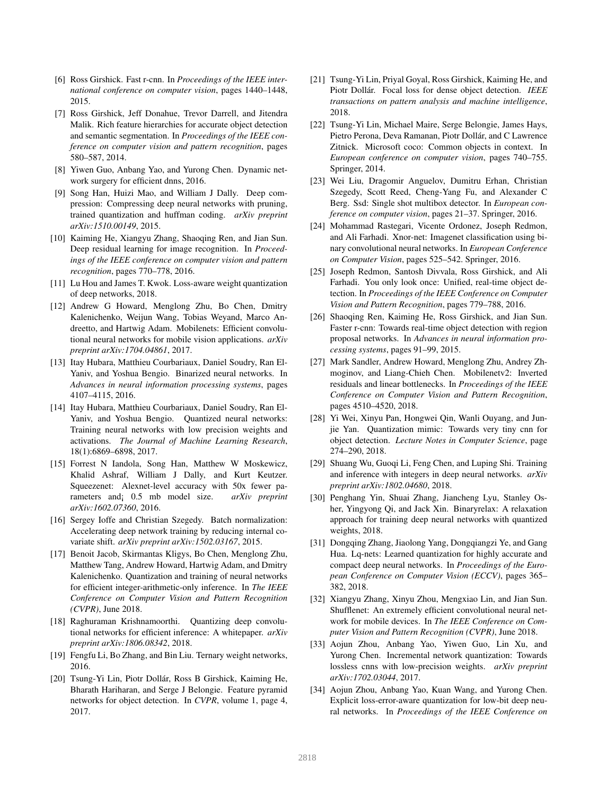- [6] Ross Girshick. Fast r-cnn. In *Proceedings of the IEEE international conference on computer vision*, pages 1440–1448, 2015.
- [7] Ross Girshick, Jeff Donahue, Trevor Darrell, and Jitendra Malik. Rich feature hierarchies for accurate object detection and semantic segmentation. In *Proceedings of the IEEE conference on computer vision and pattern recognition*, pages 580–587, 2014.
- [8] Yiwen Guo, Anbang Yao, and Yurong Chen. Dynamic network surgery for efficient dnns, 2016.
- [9] Song Han, Huizi Mao, and William J Dally. Deep compression: Compressing deep neural networks with pruning, trained quantization and huffman coding. *arXiv preprint arXiv:1510.00149*, 2015.
- [10] Kaiming He, Xiangyu Zhang, Shaoqing Ren, and Jian Sun. Deep residual learning for image recognition. In *Proceedings of the IEEE conference on computer vision and pattern recognition*, pages 770–778, 2016.
- [11] Lu Hou and James T. Kwok. Loss-aware weight quantization of deep networks, 2018.
- [12] Andrew G Howard, Menglong Zhu, Bo Chen, Dmitry Kalenichenko, Weijun Wang, Tobias Weyand, Marco Andreetto, and Hartwig Adam. Mobilenets: Efficient convolutional neural networks for mobile vision applications. *arXiv preprint arXiv:1704.04861*, 2017.
- [13] Itay Hubara, Matthieu Courbariaux, Daniel Soudry, Ran El-Yaniv, and Yoshua Bengio. Binarized neural networks. In *Advances in neural information processing systems*, pages 4107–4115, 2016.
- [14] Itay Hubara, Matthieu Courbariaux, Daniel Soudry, Ran El-Yaniv, and Yoshua Bengio. Quantized neural networks: Training neural networks with low precision weights and activations. *The Journal of Machine Learning Research*, 18(1):6869–6898, 2017.
- [15] Forrest N Iandola, Song Han, Matthew W Moskewicz, Khalid Ashraf, William J Dally, and Kurt Keutzer. Squeezenet: Alexnet-level accuracy with 50x fewer parameters and¡ 0.5 mb model size. *arXiv preprint arXiv:1602.07360*, 2016.
- [16] Sergey Ioffe and Christian Szegedy. Batch normalization: Accelerating deep network training by reducing internal covariate shift. *arXiv preprint arXiv:1502.03167*, 2015.
- [17] Benoit Jacob, Skirmantas Kligys, Bo Chen, Menglong Zhu, Matthew Tang, Andrew Howard, Hartwig Adam, and Dmitry Kalenichenko. Quantization and training of neural networks for efficient integer-arithmetic-only inference. In *The IEEE Conference on Computer Vision and Pattern Recognition (CVPR)*, June 2018.
- [18] Raghuraman Krishnamoorthi. Quantizing deep convolutional networks for efficient inference: A whitepaper. *arXiv preprint arXiv:1806.08342*, 2018.
- [19] Fengfu Li, Bo Zhang, and Bin Liu. Ternary weight networks, 2016.
- [20] Tsung-Yi Lin, Piotr Dollár, Ross B Girshick, Kaiming He, Bharath Hariharan, and Serge J Belongie. Feature pyramid networks for object detection. In *CVPR*, volume 1, page 4, 2017.
- [21] Tsung-Yi Lin, Priyal Goyal, Ross Girshick, Kaiming He, and Piotr Dollár. Focal loss for dense object detection. *IEEE transactions on pattern analysis and machine intelligence*, 2018.
- [22] Tsung-Yi Lin, Michael Maire, Serge Belongie, James Hays, Pietro Perona, Deva Ramanan, Piotr Dollár, and C Lawrence Zitnick. Microsoft coco: Common objects in context. In *European conference on computer vision*, pages 740–755. Springer, 2014.
- [23] Wei Liu, Dragomir Anguelov, Dumitru Erhan, Christian Szegedy, Scott Reed, Cheng-Yang Fu, and Alexander C Berg. Ssd: Single shot multibox detector. In *European conference on computer vision*, pages 21–37. Springer, 2016.
- [24] Mohammad Rastegari, Vicente Ordonez, Joseph Redmon, and Ali Farhadi. Xnor-net: Imagenet classification using binary convolutional neural networks. In *European Conference on Computer Vision*, pages 525–542. Springer, 2016.
- [25] Joseph Redmon, Santosh Divvala, Ross Girshick, and Ali Farhadi. You only look once: Unified, real-time object detection. In *Proceedings of the IEEE Conference on Computer Vision and Pattern Recognition*, pages 779–788, 2016.
- [26] Shaoqing Ren, Kaiming He, Ross Girshick, and Jian Sun. Faster r-cnn: Towards real-time object detection with region proposal networks. In *Advances in neural information processing systems*, pages 91–99, 2015.
- [27] Mark Sandler, Andrew Howard, Menglong Zhu, Andrey Zhmoginov, and Liang-Chieh Chen. Mobilenetv2: Inverted residuals and linear bottlenecks. In *Proceedings of the IEEE Conference on Computer Vision and Pattern Recognition*, pages 4510–4520, 2018.
- [28] Yi Wei, Xinyu Pan, Hongwei Qin, Wanli Ouyang, and Junjie Yan. Quantization mimic: Towards very tiny cnn for object detection. *Lecture Notes in Computer Science*, page 274–290, 2018.
- [29] Shuang Wu, Guoqi Li, Feng Chen, and Luping Shi. Training and inference with integers in deep neural networks. *arXiv preprint arXiv:1802.04680*, 2018.
- [30] Penghang Yin, Shuai Zhang, Jiancheng Lyu, Stanley Osher, Yingyong Qi, and Jack Xin. Binaryrelax: A relaxation approach for training deep neural networks with quantized weights, 2018.
- [31] Dongqing Zhang, Jiaolong Yang, Dongqiangzi Ye, and Gang Hua. Lq-nets: Learned quantization for highly accurate and compact deep neural networks. In *Proceedings of the European Conference on Computer Vision (ECCV)*, pages 365– 382, 2018.
- [32] Xiangyu Zhang, Xinyu Zhou, Mengxiao Lin, and Jian Sun. Shufflenet: An extremely efficient convolutional neural network for mobile devices. In *The IEEE Conference on Computer Vision and Pattern Recognition (CVPR)*, June 2018.
- [33] Aojun Zhou, Anbang Yao, Yiwen Guo, Lin Xu, and Yurong Chen. Incremental network quantization: Towards lossless cnns with low-precision weights. *arXiv preprint arXiv:1702.03044*, 2017.
- [34] Aojun Zhou, Anbang Yao, Kuan Wang, and Yurong Chen. Explicit loss-error-aware quantization for low-bit deep neural networks. In *Proceedings of the IEEE Conference on*